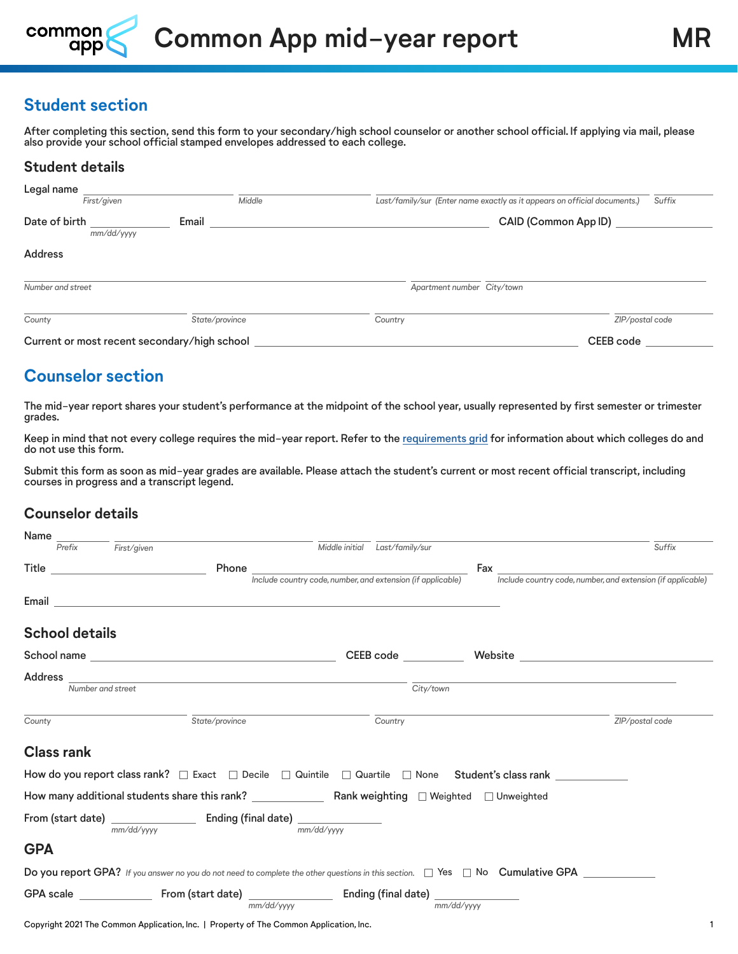

## **Student section**

After completing this section, send this form to your secondary/high school counselor or another school official. If applying via mail, please also provide your school official stamped envelopes addressed to each college.

### **Student details**

| Legal name        |                                              |           |                            |                                                                           |                 |
|-------------------|----------------------------------------------|-----------|----------------------------|---------------------------------------------------------------------------|-----------------|
|                   | First/given                                  | Middle    |                            | Last/family/sur (Enter name exactly as it appears on official documents.) | Suffix          |
| Date of birth     | Email<br>mm/dd/yyyy                          |           |                            | CAID (Common App ID)                                                      |                 |
| <b>Address</b>    |                                              |           |                            |                                                                           |                 |
| Number and street |                                              |           | Apartment number City/town |                                                                           |                 |
| County            | State/province                               |           | Country                    |                                                                           | ZIP/postal code |
|                   | Current or most recent secondary/high school | CEEB code |                            |                                                                           |                 |

# **Counselor section**

The mid-year report shares your student's performance at the midpoint of the school year, usually represented by first semester or trimester grades.

Keep in mind that not every college requires the mid-year report. Refer to the [requirements grid](https://content.commonapp.org/Files/ReqGrid.pdf) for information about which colleges do and do not use this form.

Submit this form as soon as mid-year grades are available. Please attach the student's current or most recent official transcript, including courses in progress and a transcript legend.

### **Counselor details**

| Name       |                       |                                                          |                                                                                                                                                         |                                                             |                                |            |                                                                                                                                          |
|------------|-----------------------|----------------------------------------------------------|---------------------------------------------------------------------------------------------------------------------------------------------------------|-------------------------------------------------------------|--------------------------------|------------|------------------------------------------------------------------------------------------------------------------------------------------|
|            | Prefix                | First/given                                              |                                                                                                                                                         |                                                             | Middle initial Last/family/sur |            | Suffix                                                                                                                                   |
|            |                       | <b>Title Community of the Community of the Community</b> | Phone $\_\_$                                                                                                                                            |                                                             |                                |            |                                                                                                                                          |
|            |                       |                                                          |                                                                                                                                                         | Include country code, number, and extension (if applicable) |                                |            | Include country code, number, and extension (if applicable)                                                                              |
|            |                       |                                                          |                                                                                                                                                         |                                                             |                                |            |                                                                                                                                          |
|            | <b>School details</b> |                                                          |                                                                                                                                                         |                                                             |                                |            |                                                                                                                                          |
|            |                       |                                                          |                                                                                                                                                         |                                                             | CEEB code __________           |            |                                                                                                                                          |
|            |                       |                                                          |                                                                                                                                                         |                                                             |                                |            |                                                                                                                                          |
|            |                       | Number and street                                        |                                                                                                                                                         |                                                             | City/town                      |            |                                                                                                                                          |
| County     |                       |                                                          | State/province                                                                                                                                          |                                                             | Country                        |            | ZIP/postal code                                                                                                                          |
|            | <b>Class rank</b>     |                                                          |                                                                                                                                                         |                                                             |                                |            |                                                                                                                                          |
|            |                       |                                                          |                                                                                                                                                         |                                                             |                                |            | How do you report class rank? □ Exact □ Decile □ Quintile □ Quartile □ None Student's class rank                                         |
|            |                       |                                                          |                                                                                                                                                         |                                                             |                                |            |                                                                                                                                          |
|            |                       |                                                          | From (start date) $\frac{1}{\text{mm}/\text{dd}/\text{vv} \cdot \text{m}}$ Ending (final date) $\frac{1}{\text{mm}/\text{dd}/\text{yy} \cdot \text{m}}$ |                                                             |                                |            |                                                                                                                                          |
| <b>GPA</b> |                       |                                                          |                                                                                                                                                         |                                                             |                                |            |                                                                                                                                          |
|            |                       |                                                          |                                                                                                                                                         |                                                             |                                |            | Do you report GPA? If you answer no you do not need to complete the other questions in this section. $\Box$ Yes $\Box$ No Cumulative GPA |
|            |                       |                                                          | mm/dd/vvvv                                                                                                                                              |                                                             |                                | mm/dd/yyyy |                                                                                                                                          |
|            |                       |                                                          | Copyright 2021 The Common Application, Inc.   Property of The Common Application, Inc.                                                                  |                                                             |                                |            |                                                                                                                                          |